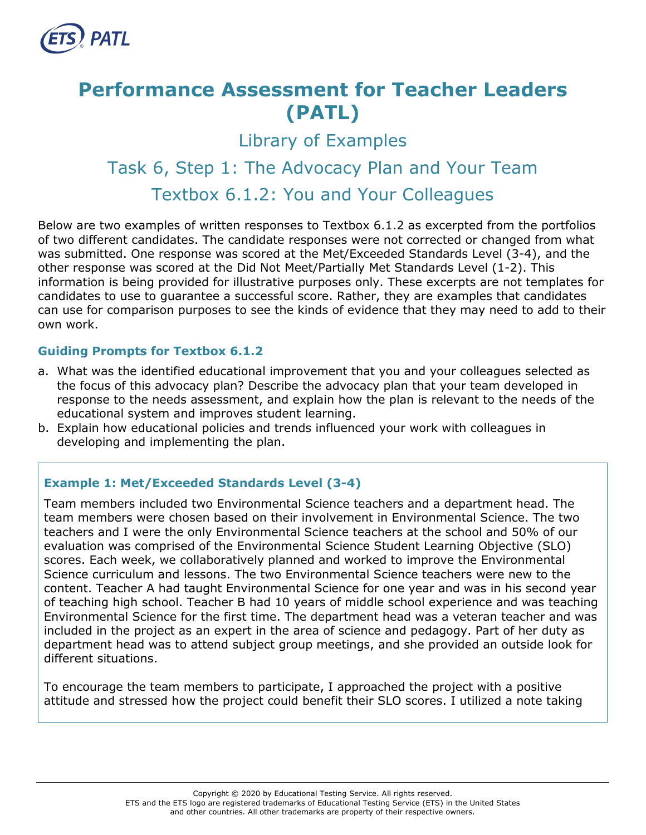

# **Performance Assessment for Teacher Leaders (PATL)**

Library of Examples

# Task 6, Step 1: The Advocacy Plan and Your Team Textbox 6.1.2: You and Your Colleagues

Below are two examples of written responses to Textbox 6.1.2 as excerpted from the portfolios of two different candidates. The candidate responses were not corrected or changed from what was submitted. One response was scored at the Met/Exceeded Standards Level (3-4), and the other response was scored at the Did Not Meet/Partially Met Standards Level (1-2). This information is being provided for illustrative purposes only. These excerpts are not templates for candidates to use to guarantee a successful score. Rather, they are examples that candidates can use for comparison purposes to see the kinds of evidence that they may need to add to their own work.

# **Guiding Prompts for Textbox 6.1.2**

- a. What was the identified educational improvement that you and your colleagues selected as the focus of this advocacy plan? Describe the advocacy plan that your team developed in response to the needs assessment, and explain how the plan is relevant to the needs of the educational system and improves student learning.
- b. Explain how educational policies and trends influenced your work with colleagues in developing and implementing the plan.

# **Example 1: Met/Exceeded Standards Level (3-4)**

Team members included two Environmental Science teachers and a department head. The team members were chosen based on their involvement in Environmental Science. The two teachers and I were the only Environmental Science teachers at the school and 50% of our evaluation was comprised of the Environmental Science Student Learning Objective (SLO) scores. Each week, we collaboratively planned and worked to improve the Environmental Science curriculum and lessons. The two Environmental Science teachers were new to the content. Teacher A had taught Environmental Science for one year and was in his second year of teaching high school. Teacher B had 10 years of middle school experience and was teaching Environmental Science for the first time. The department head was a veteran teacher and was included in the project as an expert in the area of science and pedagogy. Part of her duty as department head was to attend subject group meetings, and she provided an outside look for different situations.

To encourage the team members to participate, I approached the project with a positive attitude and stressed how the project could benefit their SLO scores. I utilized a note taking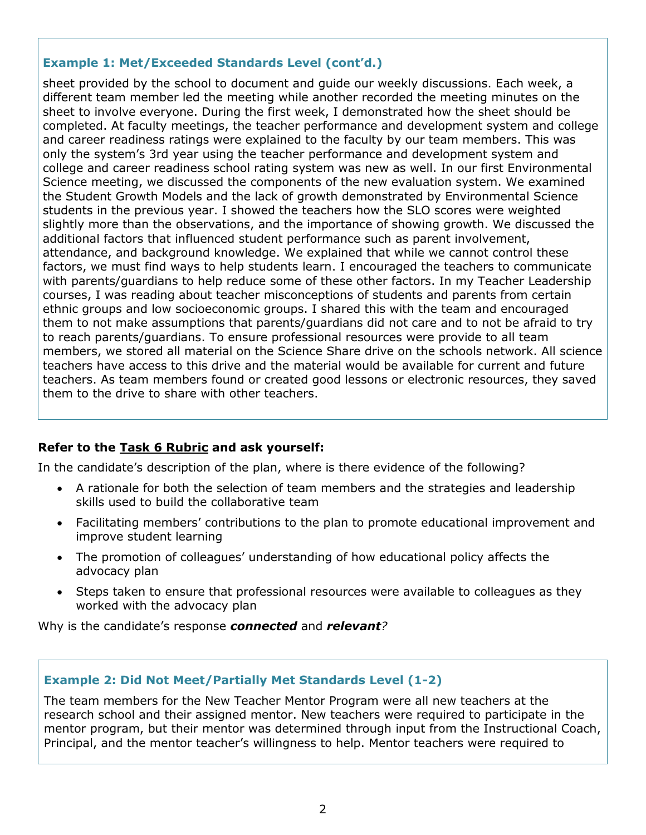### **Example 1: Met/Exceeded Standards Level (cont'd.)**

sheet provided by the school to document and guide our weekly discussions. Each week, a different team member led the meeting while another recorded the meeting minutes on the sheet to involve everyone. During the first week, I demonstrated how the sheet should be completed. At faculty meetings, the teacher performance and development system and college and career readiness ratings were explained to the faculty by our team members. This was only the system's 3rd year using the teacher performance and development system and college and career readiness school rating system was new as well. In our first Environmental Science meeting, we discussed the components of the new evaluation system. We examined the Student Growth Models and the lack of growth demonstrated by Environmental Science students in the previous year. I showed the teachers how the SLO scores were weighted slightly more than the observations, and the importance of showing growth. We discussed the additional factors that influenced student performance such as parent involvement, attendance, and background knowledge. We explained that while we cannot control these factors, we must find ways to help students learn. I encouraged the teachers to communicate with parents/guardians to help reduce some of these other factors. In my Teacher Leadership courses, I was reading about teacher misconceptions of students and parents from certain ethnic groups and low socioeconomic groups. I shared this with the team and encouraged them to not make assumptions that parents/guardians did not care and to not be afraid to try to reach parents/guardians. To ensure professional resources were provide to all team members, we stored all material on the Science Share drive on the schools network. All science teachers have access to this drive and the material would be available for current and future teachers. As team members found or created good lessons or electronic resources, they saved them to the drive to share with other teachers.

# **Refer to the [Task 6](http://gace.ets.org/s/pdf/gace_teacher_leadership_assessment_task_6_rubric.pdf) Rubric and ask yourself:**

In the candidate's description of the plan, where is there evidence of the following?

- A rationale for both the selection of team members and the strategies and leadership skills used to build the collaborative team
- Facilitating members' contributions to the plan to promote educational improvement and improve student learning
- The promotion of colleagues' understanding of how educational policy affects the advocacy plan
- Steps taken to ensure that professional resources were available to colleagues as they worked with the advocacy plan

Why is the candidate's response *connected* and *relevant?*

#### **Example 2: Did Not Meet/Partially Met Standards Level (1-2)**

The team members for the New Teacher Mentor Program were all new teachers at the research school and their assigned mentor. New teachers were required to participate in the mentor program, but their mentor was determined through input from the Instructional Coach, Principal, and the mentor teacher's willingness to help. Mentor teachers were required to